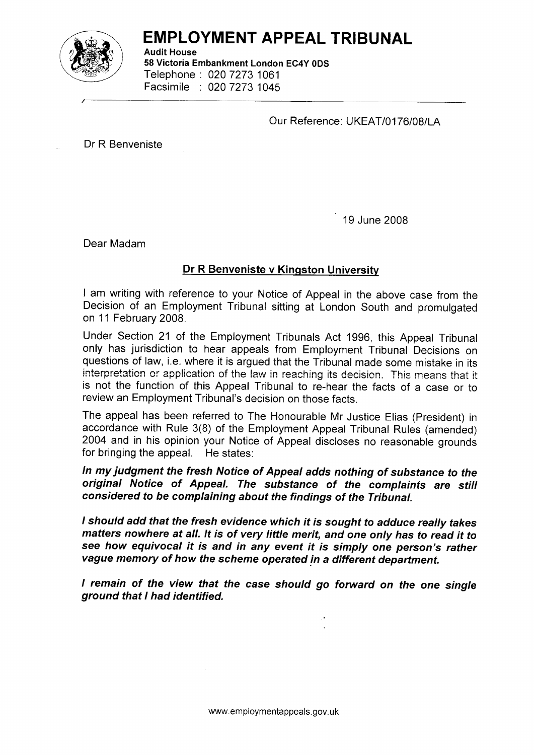

## EMPLOYMENT APPEAL TRIBUNAL

Audit House 58 Victoria Embankment London EC4Y ODS Telephone : 020 7273 <sup>1061</sup> Facsimile : 020 7273 <sup>1045</sup>

Our Reference: UKEAT/0176/08/LA

Dr R Benveniste

<sup>1</sup>9 June 2008

Dear Madam

## Dr R Benveniste v Kingston University

I am writing with reference to your Notice of Appeal in the above case from the Decision of an Employment Tribunal sitting at London South and promulgated on 11 February 2008.

Under Section 21 of the Employment Tribunals Act 1996, this Appeal Tribunal only has jurisdiction to hear appeals from Employment Tribunal Decisions on questions of law, i.e. where it is argued that the Tribunal made some mistake in its interpretation or application of the law in reaching its decision. This means that it is not the function of this Appeal Tribunal to re-hear the facts of a case or to review an Employment Tribunal's decision on those facts.

The appeal has been referred to The Honourable Mr Justice Elias (President) in accordance with Rule 3(8) of the Employment Appeal Tribunal Rules (amended) 2004 and in his opinion your Notice of Appeal discloses no reasonable grounds for bringing the appeal. He states:

ln my iudgment the fresh Notice of Appeal adds nothing of substance to the original Notice of Appeal. The substance of the complaints are still considered to be complaining about the findings of the Tribunal.

I should add that the fresh evidence which if is sought to adduce really takes matters nowhere at all. lt is of very little merit, and one only has to read it to see how equivocal it is and in any event it is simply one person's rather vaque memory of how the scheme operated in a different department.

I remain of the view that the case should go forward on the one single ground that I had identified.